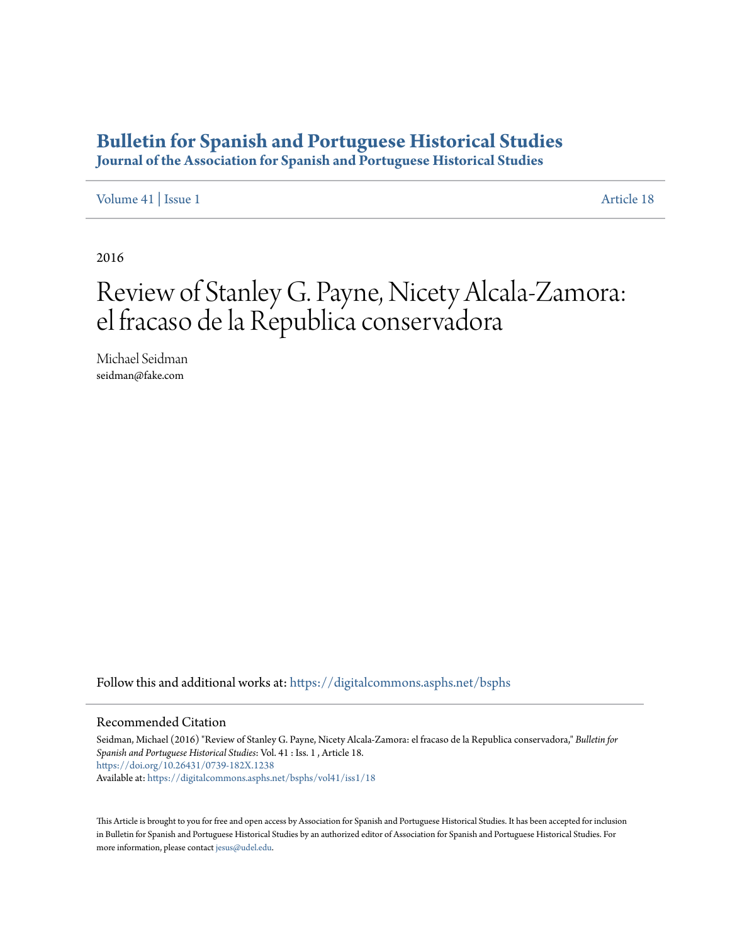## **[Bulletin for Spanish and Portuguese Historical Studies](https://digitalcommons.asphs.net/bsphs?utm_source=digitalcommons.asphs.net%2Fbsphs%2Fvol41%2Fiss1%2F18&utm_medium=PDF&utm_campaign=PDFCoverPages)**

**Journal of the Association for Spanish and Portuguese Historical Studies**

[Volume 41](https://digitalcommons.asphs.net/bsphs/vol41?utm_source=digitalcommons.asphs.net%2Fbsphs%2Fvol41%2Fiss1%2F18&utm_medium=PDF&utm_campaign=PDFCoverPages) | [Issue 1](https://digitalcommons.asphs.net/bsphs/vol41/iss1?utm_source=digitalcommons.asphs.net%2Fbsphs%2Fvol41%2Fiss1%2F18&utm_medium=PDF&utm_campaign=PDFCoverPages) [Article 18](https://digitalcommons.asphs.net/bsphs/vol41/iss1/18?utm_source=digitalcommons.asphs.net%2Fbsphs%2Fvol41%2Fiss1%2F18&utm_medium=PDF&utm_campaign=PDFCoverPages)

2016

# Review of Stanley G. Payne, Nicety Alcala-Zamora: el fracaso de la Republica conservadora

Michael Seidman seidman@fake.com

Follow this and additional works at: [https://digitalcommons.asphs.net/bsphs](https://digitalcommons.asphs.net/bsphs?utm_source=digitalcommons.asphs.net%2Fbsphs%2Fvol41%2Fiss1%2F18&utm_medium=PDF&utm_campaign=PDFCoverPages)

#### Recommended Citation

Seidman, Michael (2016) "Review of Stanley G. Payne, Nicety Alcala-Zamora: el fracaso de la Republica conservadora," *Bulletin for Spanish and Portuguese Historical Studies*: Vol. 41 : Iss. 1 , Article 18. <https://doi.org/10.26431/0739-182X.1238> Available at: [https://digitalcommons.asphs.net/bsphs/vol41/iss1/18](https://digitalcommons.asphs.net/bsphs/vol41/iss1/18?utm_source=digitalcommons.asphs.net%2Fbsphs%2Fvol41%2Fiss1%2F18&utm_medium=PDF&utm_campaign=PDFCoverPages)

This Article is brought to you for free and open access by Association for Spanish and Portuguese Historical Studies. It has been accepted for inclusion in Bulletin for Spanish and Portuguese Historical Studies by an authorized editor of Association for Spanish and Portuguese Historical Studies. For more information, please contact [jesus@udel.edu](mailto:jesus@udel.edu).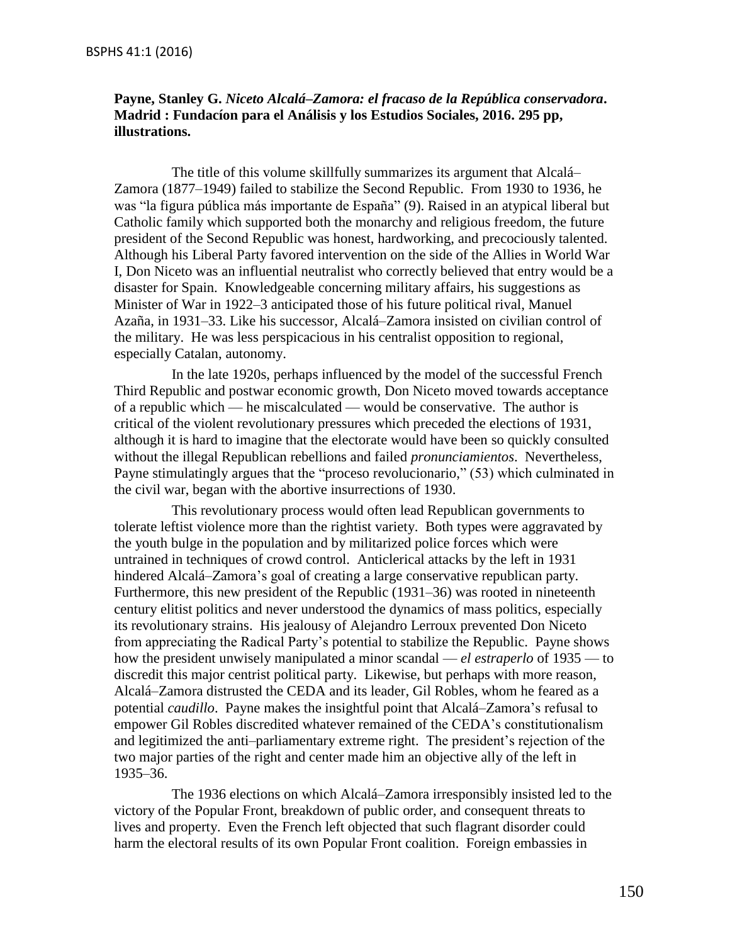### **Payne, Stanley G.** *Niceto Alcalá–Zamora: el fracaso de la República conservadora***. Madrid : Fundacíon para el Análisis y los Estudios Sociales, 2016. 295 pp, illustrations.**

The title of this volume skillfully summarizes its argument that Alcalá– Zamora (1877–1949) failed to stabilize the Second Republic. From 1930 to 1936, he was "la figura pública más importante de España" (9). Raised in an atypical liberal but Catholic family which supported both the monarchy and religious freedom, the future president of the Second Republic was honest, hardworking, and precociously talented. Although his Liberal Party favored intervention on the side of the Allies in World War I, Don Niceto was an influential neutralist who correctly believed that entry would be a disaster for Spain. Knowledgeable concerning military affairs, his suggestions as Minister of War in 1922–3 anticipated those of his future political rival, Manuel Azaña, in 1931–33. Like his successor, Alcalá–Zamora insisted on civilian control of the military. He was less perspicacious in his centralist opposition to regional, especially Catalan, autonomy.

In the late 1920s, perhaps influenced by the model of the successful French Third Republic and postwar economic growth, Don Niceto moved towards acceptance of a republic which — he miscalculated — would be conservative. The author is critical of the violent revolutionary pressures which preceded the elections of 1931, although it is hard to imagine that the electorate would have been so quickly consulted without the illegal Republican rebellions and failed *pronunciamientos*. Nevertheless, Payne stimulatingly argues that the "proceso revolucionario," (53) which culminated in the civil war, began with the abortive insurrections of 1930.

This revolutionary process would often lead Republican governments to tolerate leftist violence more than the rightist variety. Both types were aggravated by the youth bulge in the population and by militarized police forces which were untrained in techniques of crowd control. Anticlerical attacks by the left in 1931 hindered Alcalá–Zamora's goal of creating a large conservative republican party. Furthermore, this new president of the Republic (1931–36) was rooted in nineteenth century elitist politics and never understood the dynamics of mass politics, especially its revolutionary strains. His jealousy of Alejandro Lerroux prevented Don Niceto from appreciating the Radical Party's potential to stabilize the Republic. Payne shows how the president unwisely manipulated a minor scandal — *el estraperlo* of 1935 — to discredit this major centrist political party. Likewise, but perhaps with more reason, Alcalá–Zamora distrusted the CEDA and its leader, Gil Robles, whom he feared as a potential *caudillo*. Payne makes the insightful point that Alcalá–Zamora's refusal to empower Gil Robles discredited whatever remained of the CEDA's constitutionalism and legitimized the anti–parliamentary extreme right. The president's rejection of the two major parties of the right and center made him an objective ally of the left in 1935–36.

The 1936 elections on which Alcalá–Zamora irresponsibly insisted led to the victory of the Popular Front, breakdown of public order, and consequent threats to lives and property. Even the French left objected that such flagrant disorder could harm the electoral results of its own Popular Front coalition. Foreign embassies in